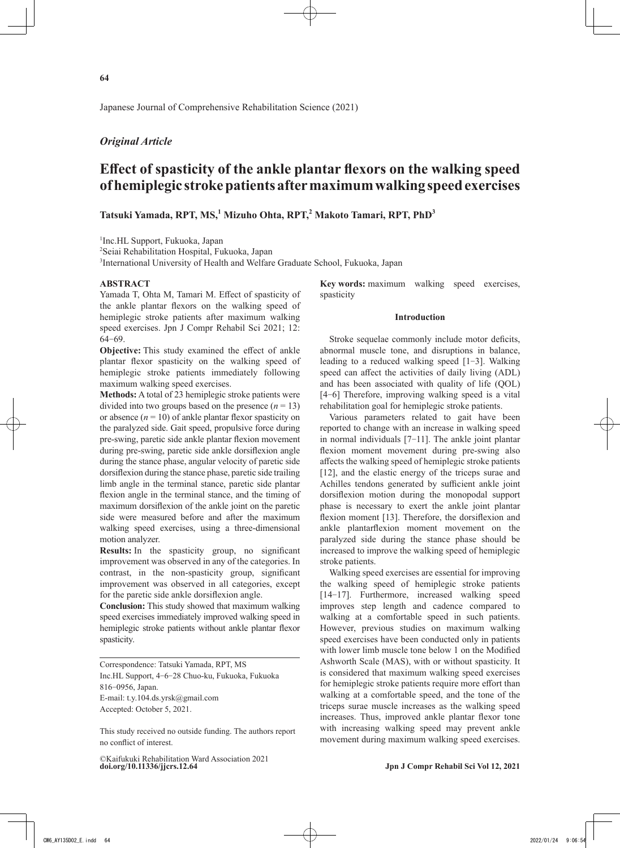Japanese Journal of Comprehensive Rehabilitation Science (2021)

# *Original Article*

# **Effect of spasticity of the ankle plantar flexors on the walking speed of hemiplegic stroke patients after maximum walking speed exercises**

# **Tatsuki Yamada, RPT, MS,<sup>1</sup> Mizuho Ohta, RPT,<sup>2</sup> Makoto Tamari, RPT, PhD<sup>3</sup>**

1 Inc.HL Support, Fukuoka, Japan

2 Seiai Rehabilitation Hospital, Fukuoka, Japan

<sup>3</sup>International University of Health and Welfare Graduate School, Fukuoka, Japan

#### **ABSTRACT**

Yamada T, Ohta M, Tamari M. Effect of spasticity of the ankle plantar flexors on the walking speed of hemiplegic stroke patients after maximum walking speed exercises. Jpn J Compr Rehabil Sci 2021; 12: 64‒69.

**Objective:** This study examined the effect of ankle plantar flexor spasticity on the walking speed of hemiplegic stroke patients immediately following maximum walking speed exercises.

**Methods:** A total of 23 hemiplegic stroke patients were divided into two groups based on the presence  $(n = 13)$ or absence  $(n = 10)$  of ankle plantar flexor spasticity on the paralyzed side. Gait speed, propulsive force during pre-swing, paretic side ankle plantar flexion movement during pre-swing, paretic side ankle dorsiflexion angle during the stance phase, angular velocity of paretic side dorsiflexion during the stance phase, paretic side trailing limb angle in the terminal stance, paretic side plantar flexion angle in the terminal stance, and the timing of maximum dorsiflexion of the ankle joint on the paretic side were measured before and after the maximum walking speed exercises, using a three-dimensional motion analyzer.

**Results:** In the spasticity group, no significant improvement was observed in any of the categories. In contrast, in the non-spasticity group, significant improvement was observed in all categories, except for the paretic side ankle dorsiflexion angle.

**Conclusion:** This study showed that maximum walking speed exercises immediately improved walking speed in hemiplegic stroke patients without ankle plantar flexor spasticity.

Correspondence: Tatsuki Yamada, RPT, MS Inc.HL Support, 4‒6‒28 Chuo-ku, Fukuoka, Fukuoka 816‒0956, Japan. E-mail: t.y.104.ds.yrsk@gmail.com Accepted: October 5, 2021.

This study received no outside funding. The authors report no conflict of interest.

**doi.org/10.11336/jjcrs.12.64 Jpn J Compr Rehabil Sci Vol 12, 2021** ©Kaifukuki Rehabilitation Ward Association 2021

**Key words:** maximum walking speed exercises, spasticity

#### **Introduction**

Stroke sequelae commonly include motor deficits, abnormal muscle tone, and disruptions in balance, leading to a reduced walking speed  $[1-3]$ . Walking speed can affect the activities of daily living (ADL) and has been associated with quality of life (QOL) [4–6] Therefore, improving walking speed is a vital rehabilitation goal for hemiplegic stroke patients.

Various parameters related to gait have been reported to change with an increase in walking speed in normal individuals  $[7-11]$ . The ankle joint plantar flexion moment movement during pre-swing also affects the walking speed of hemiplegic stroke patients [12], and the elastic energy of the triceps surae and Achilles tendons generated by sufficient ankle joint dorsiflexion motion during the monopodal support phase is necessary to exert the ankle joint plantar flexion moment [13]. Therefore, the dorsiflexion and ankle plantarflexion moment movement on the paralyzed side during the stance phase should be increased to improve the walking speed of hemiplegic stroke patients.

Walking speed exercises are essential for improving the walking speed of hemiplegic stroke patients [14–17]. Furthermore, increased walking speed improves step length and cadence compared to walking at a comfortable speed in such patients. However, previous studies on maximum walking speed exercises have been conducted only in patients with lower limb muscle tone below 1 on the Modified Ashworth Scale (MAS), with or without spasticity. It is considered that maximum walking speed exercises for hemiplegic stroke patients require more effort than walking at a comfortable speed, and the tone of the triceps surae muscle increases as the walking speed increases. Thus, improved ankle plantar flexor tone with increasing walking speed may prevent ankle movement during maximum walking speed exercises.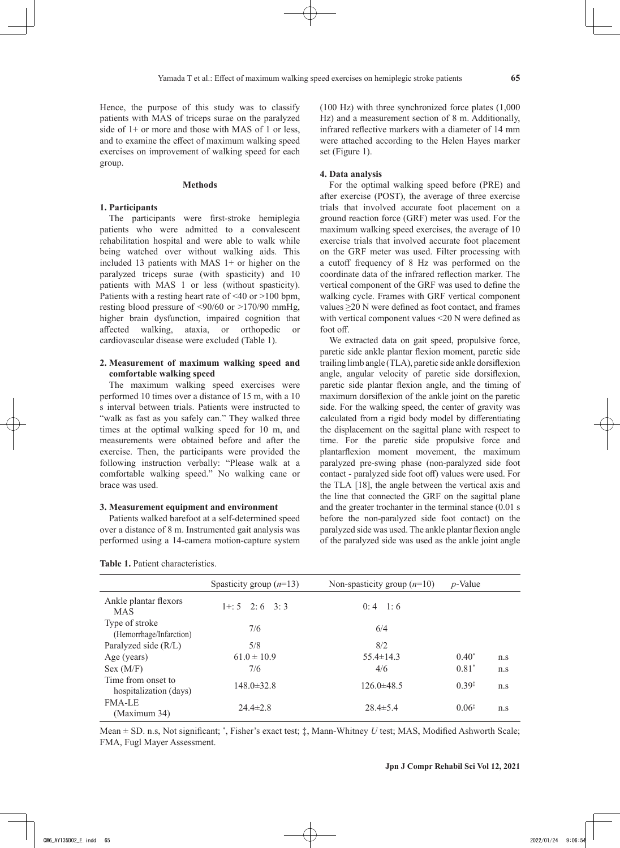Hence, the purpose of this study was to classify patients with MAS of triceps surae on the paralyzed side of 1+ or more and those with MAS of 1 or less, and to examine the effect of maximum walking speed exercises on improvement of walking speed for each group.

#### **Methods**

#### **1. Participants**

The participants were first-stroke hemiplegia patients who were admitted to a convalescent rehabilitation hospital and were able to walk while being watched over without walking aids. This included 13 patients with MAS  $1+$  or higher on the paralyzed triceps surae (with spasticity) and 10 patients with MAS 1 or less (without spasticity). Patients with a resting heart rate of  $\leq 40$  or  $>100$  bpm, resting blood pressure of <90/60 or >170/90 mmHg, higher brain dysfunction, impaired cognition that affected walking, ataxia, or orthopedic or cardiovascular disease were excluded (Table 1).

## **2. Measurement of maximum walking speed and comfortable walking speed**

The maximum walking speed exercises were performed 10 times over a distance of 15 m, with a 10 s interval between trials. Patients were instructed to "walk as fast as you safely can." They walked three times at the optimal walking speed for 10 m, and measurements were obtained before and after the exercise. Then, the participants were provided the following instruction verbally: "Please walk at a comfortable walking speed." No walking cane or brace was used.

#### **3. Measurement equipment and environment**

Patients walked barefoot at a self-determined speed over a distance of 8 m. Instrumented gait analysis was performed using a 14-camera motion-capture system

| Table 1. Patient characteristics. |  |
|-----------------------------------|--|
|-----------------------------------|--|

(100 Hz) with three synchronized force plates (1,000 Hz) and a measurement section of 8 m. Additionally, infrared reflective markers with a diameter of 14 mm were attached according to the Helen Hayes marker set (Figure 1).

#### **4. Data analysis**

For the optimal walking speed before (PRE) and after exercise (POST), the average of three exercise trials that involved accurate foot placement on a ground reaction force (GRF) meter was used. For the maximum walking speed exercises, the average of 10 exercise trials that involved accurate foot placement on the GRF meter was used. Filter processing with a cutoff frequency of 8 Hz was performed on the coordinate data of the infrared reflection marker. The vertical component of the GRF was used to define the walking cycle. Frames with GRF vertical component values ≥20 N were defined as foot contact, and frames with vertical component values <20 N were defined as foot off.

We extracted data on gait speed, propulsive force, paretic side ankle plantar flexion moment, paretic side trailing limb angle (TLA), paretic side ankle dorsiflexion angle, angular velocity of paretic side dorsiflexion, paretic side plantar flexion angle, and the timing of maximum dorsiflexion of the ankle joint on the paretic side. For the walking speed, the center of gravity was calculated from a rigid body model by differentiating the displacement on the sagittal plane with respect to time. For the paretic side propulsive force and plantarflexion moment movement, the maximum paralyzed pre-swing phase (non-paralyzed side foot contact - paralyzed side foot off) values were used. For the TLA [18], the angle between the vertical axis and the line that connected the GRF on the sagittal plane and the greater trochanter in the terminal stance (0.01 s before the non-paralyzed side foot contact) on the paralyzed side was used. The ankle plantar flexion angle of the paralyzed side was used as the ankle joint angle

|                                              | Spasticity group $(n=13)$ | Non-spasticity group $(n=10)$ | $p$ -Value        |     |
|----------------------------------------------|---------------------------|-------------------------------|-------------------|-----|
| Ankle plantar flexors<br><b>MAS</b>          | $1 + 5$ 2:6 3:3           | $0:4$ 1:6                     |                   |     |
| Type of stroke<br>(Hemorrhage/Infarction)    | 7/6                       | 6/4                           |                   |     |
| Paralyzed side (R/L)                         | 5/8                       | 8/2                           |                   |     |
| Age (years)                                  | $61.0 \pm 10.9$           | $55.4 \pm 14.3$               | $0.40*$           | n.s |
| Sex (M/F)                                    | 7/6                       | 4/6                           | $0.81*$           | n.s |
| Time from onset to<br>hospitalization (days) | $148.0 \pm 32.8$          | $126.0\pm48.5$                | $0.39^{\ddagger}$ | n.s |
| <b>FMA-LE</b><br>(Maximum 34)                | $24.4 \pm 2.8$            | $28.4 \pm 5.4$                | $0.06*$           | n.s |

Mean ± SD. n.s, Not significant; \* , Fisher's exact test; ‡, Mann-Whitney *U* test; MAS, Modified Ashworth Scale; FMA, Fugl Mayer Assessment.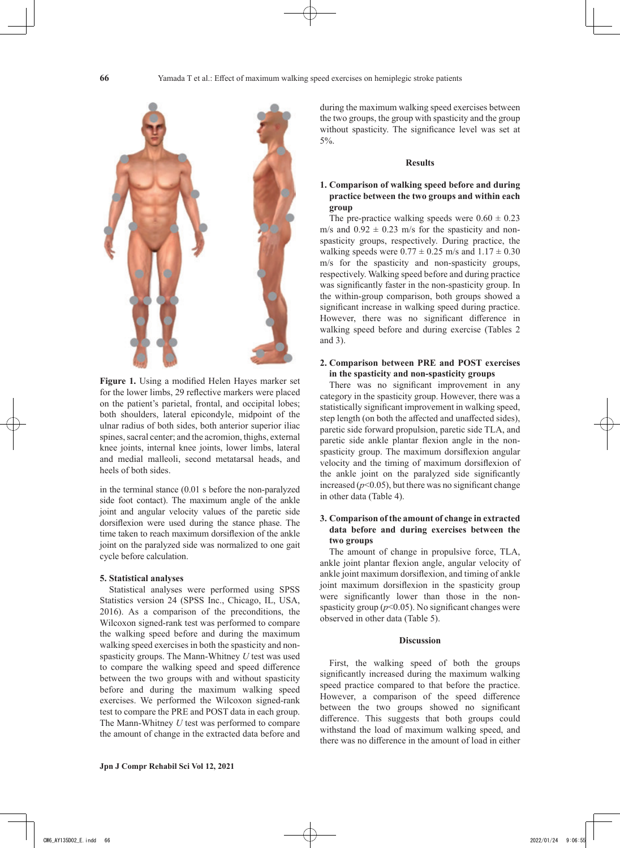

**Figure 1.** Using a modified Helen Hayes marker set for the lower limbs, 29 reflective markers were placed on the patient's parietal, frontal, and occipital lobes; both shoulders, lateral epicondyle, midpoint of the ulnar radius of both sides, both anterior superior iliac spines, sacral center; and the acromion, thighs, external knee joints, internal knee joints, lower limbs, lateral and medial malleoli, second metatarsal heads, and heels of both sides.

in the terminal stance (0.01 s before the non-paralyzed side foot contact). The maximum angle of the ankle joint and angular velocity values of the paretic side dorsiflexion were used during the stance phase. The time taken to reach maximum dorsiflexion of the ankle joint on the paralyzed side was normalized to one gait cycle before calculation.

#### **5. Statistical analyses**

Statistical analyses were performed using SPSS Statistics version 24 (SPSS Inc., Chicago, IL, USA, 2016). As a comparison of the preconditions, the Wilcoxon signed-rank test was performed to compare the walking speed before and during the maximum walking speed exercises in both the spasticity and nonspasticity groups. The Mann-Whitney *U* test was used to compare the walking speed and speed difference between the two groups with and without spasticity before and during the maximum walking speed exercises. We performed the Wilcoxon signed-rank test to compare the PRE and POST data in each group. The Mann-Whitney *U* test was performed to compare the amount of change in the extracted data before and during the maximum walking speed exercises between the two groups, the group with spasticity and the group without spasticity. The significance level was set at 5%.

## **Results**

# **1. Comparison of walking speed before and during practice between the two groups and within each group**

The pre-practice walking speeds were  $0.60 \pm 0.23$ m/s and  $0.92 \pm 0.23$  m/s for the spasticity and nonspasticity groups, respectively. During practice, the walking speeds were  $0.77 \pm 0.25$  m/s and  $1.17 \pm 0.30$ m/s for the spasticity and non-spasticity groups, respectively. Walking speed before and during practice was significantly faster in the non-spasticity group. In the within-group comparison, both groups showed a significant increase in walking speed during practice. However, there was no significant difference in walking speed before and during exercise (Tables 2 and 3).

# **2. Comparison between PRE and POST exercises in the spasticity and non-spasticity groups**

There was no significant improvement in any category in the spasticity group. However, there was a statistically significant improvement in walking speed, step length (on both the affected and unaffected sides), paretic side forward propulsion, paretic side TLA, and paretic side ankle plantar flexion angle in the nonspasticity group. The maximum dorsiflexion angular velocity and the timing of maximum dorsiflexion of the ankle joint on the paralyzed side significantly increased  $(p<0.05)$ , but there was no significant change in other data (Table 4).

# **3. Comparison of the amount of change in extracted data before and during exercises between the two groups**

The amount of change in propulsive force, TLA, ankle joint plantar flexion angle, angular velocity of ankle joint maximum dorsiflexion, and timing of ankle joint maximum dorsiflexion in the spasticity group were significantly lower than those in the nonspasticity group  $(p<0.05)$ . No significant changes were observed in other data (Table 5).

# **Discussion**

First, the walking speed of both the groups significantly increased during the maximum walking speed practice compared to that before the practice. However, a comparison of the speed difference between the two groups showed no significant difference. This suggests that both groups could withstand the load of maximum walking speed, and there was no difference in the amount of load in either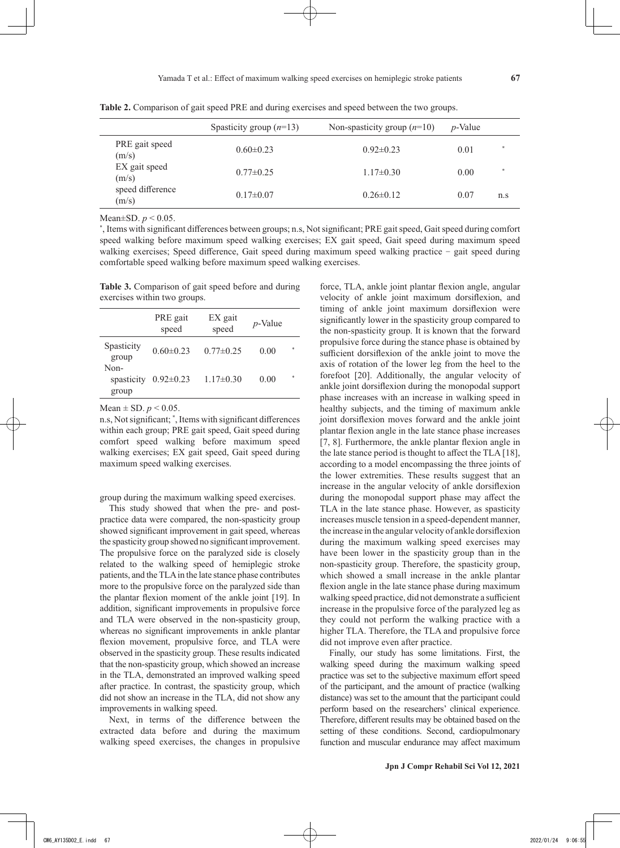|                           | Spasticity group $(n=13)$ | Non-spasticity group $(n=10)$ | $p$ -Value |               |
|---------------------------|---------------------------|-------------------------------|------------|---------------|
| PRE gait speed<br>(m/s)   | $0.60 \pm 0.23$           | $0.92 \pm 0.23$               | 0.01       |               |
| EX gait speed<br>(m/s)    | $0.77 \pm 0.25$           | $1.17\pm0.30$                 | 0.00       | $\frac{1}{2}$ |
| speed difference<br>(m/s) | $0.17 \pm 0.07$           | $0.26 \pm 0.12$               | 0.07       | n.s           |

**Table 2.** Comparison of gait speed PRE and during exercises and speed between the two groups.

Mean±SD. *p* < 0.05.

\* , Items with significant differences between groups; n.s, Not significant; PRE gait speed, Gait speed during comfort speed walking before maximum speed walking exercises; EX gait speed, Gait speed during maximum speed walking exercises; Speed difference, Gait speed during maximum speed walking practice - gait speed during comfortable speed walking before maximum speed walking exercises.

**Table 3.** Comparison of gait speed before and during exercises within two groups.

|                             | PRE gait<br>speed | EX gait<br>speed | $p$ -Value |    |
|-----------------------------|-------------------|------------------|------------|----|
| Spasticity<br>group         | $0.60 \pm 0.23$   | $0.77 \pm 0.25$  | 0.00       | 字  |
| Non-<br>spasticity<br>group | $0.92 \pm 0.23$   | $1.17\pm0.30$    | 0.00       | ź. |

Mean  $\pm$  SD.  $p < 0.05$ .

n.s, Not significant; \* , Items with significant differences within each group; PRE gait speed, Gait speed during comfort speed walking before maximum speed walking exercises; EX gait speed, Gait speed during maximum speed walking exercises.

group during the maximum walking speed exercises.

This study showed that when the pre- and postpractice data were compared, the non-spasticity group showed significant improvement in gait speed, whereas the spasticity group showed no significant improvement. The propulsive force on the paralyzed side is closely related to the walking speed of hemiplegic stroke patients, and the TLA in the late stance phase contributes more to the propulsive force on the paralyzed side than the plantar flexion moment of the ankle joint [19]. In addition, significant improvements in propulsive force and TLA were observed in the non-spasticity group, whereas no significant improvements in ankle plantar flexion movement, propulsive force, and TLA were observed in the spasticity group. These results indicated that the non-spasticity group, which showed an increase in the TLA, demonstrated an improved walking speed after practice. In contrast, the spasticity group, which did not show an increase in the TLA, did not show any improvements in walking speed.

Next, in terms of the difference between the extracted data before and during the maximum walking speed exercises, the changes in propulsive force, TLA, ankle joint plantar flexion angle, angular velocity of ankle joint maximum dorsiflexion, and timing of ankle joint maximum dorsiflexion were significantly lower in the spasticity group compared to the non-spasticity group. It is known that the forward propulsive force during the stance phase is obtained by sufficient dorsiflexion of the ankle joint to move the axis of rotation of the lower leg from the heel to the forefoot [20]. Additionally, the angular velocity of ankle joint dorsiflexion during the monopodal support phase increases with an increase in walking speed in healthy subjects, and the timing of maximum ankle joint dorsiflexion moves forward and the ankle joint plantar flexion angle in the late stance phase increases [7, 8]. Furthermore, the ankle plantar flexion angle in the late stance period is thought to affect the TLA [18], according to a model encompassing the three joints of the lower extremities. These results suggest that an increase in the angular velocity of ankle dorsiflexion during the monopodal support phase may affect the TLA in the late stance phase. However, as spasticity increases muscle tension in a speed-dependent manner, the increase in the angular velocity of ankle dorsiflexion during the maximum walking speed exercises may have been lower in the spasticity group than in the non-spasticity group. Therefore, the spasticity group, which showed a small increase in the ankle plantar flexion angle in the late stance phase during maximum walking speed practice, did not demonstrate a sufficient increase in the propulsive force of the paralyzed leg as they could not perform the walking practice with a higher TLA. Therefore, the TLA and propulsive force did not improve even after practice.

Finally, our study has some limitations. First, the walking speed during the maximum walking speed practice was set to the subjective maximum effort speed of the participant, and the amount of practice (walking distance) was set to the amount that the participant could perform based on the researchers' clinical experience. Therefore, different results may be obtained based on the setting of these conditions. Second, cardiopulmonary function and muscular endurance may affect maximum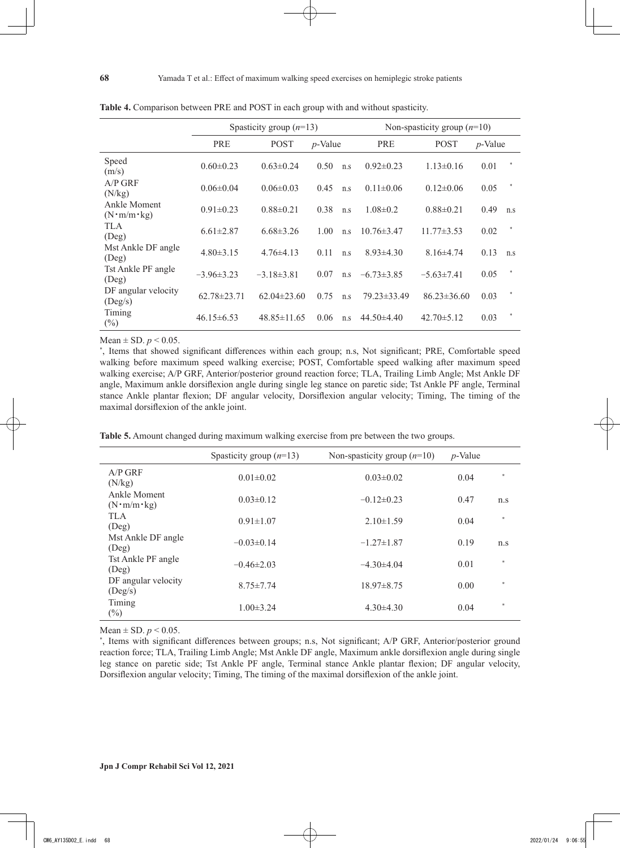|                                          | Spasticity group $(n=13)$ |                   |            | Non-spasticity group $(n=10)$ |                  |                   |            |        |
|------------------------------------------|---------------------------|-------------------|------------|-------------------------------|------------------|-------------------|------------|--------|
|                                          | <b>PRE</b>                | <b>POST</b>       | $p$ -Value |                               | <b>PRE</b>       | <b>POST</b>       | $p$ -Value |        |
| Speed<br>(m/s)                           | $0.60 \pm 0.23$           | $0.63 \pm 0.24$   | 0.50       | n.s                           | $0.92 \pm 0.23$  | $1.13 \pm 0.16$   | 0.01       |        |
| $A/P$ GRF<br>(N/kg)                      | $0.06 \pm 0.04$           | $0.06 \pm 0.03$   | 0.45       | n.s                           | $0.11 \pm 0.06$  | $0.12 \pm 0.06$   | 0.05       |        |
| Ankle Moment<br>$(N \cdot m/m \cdot kg)$ | $0.91 \pm 0.23$           | $0.88 \pm 0.21$   | 0.38       | n.s                           | $1.08 \pm 0.2$   | $0.88 \pm 0.21$   | 0.49       | n.s    |
| TLA<br>(Deg)                             | $6.61 \pm 2.87$           | $6.68\pm3.26$     | 1.00       | n.s                           | $10.76 \pm 3.47$ | $11.77 \pm 3.53$  | 0.02       |        |
| Mst Ankle DF angle<br>(Deg)              | $4.80 \pm 3.15$           | $4.76\pm4.13$     | 0.11       | n.s                           | $8.93\pm4.30$    | $8.16\pm4.74$     | 0.13       | n.s    |
| Tst Ankle PF angle<br>(Deg)              | $-3.96\pm3.23$            | $-3.18\pm3.81$    | 0.07       | n.s                           | $-6.73\pm3.85$   | $-5.63\pm7.41$    | 0.05       | $\ast$ |
| DF angular velocity<br>(Deg/s)           | $62.78 \pm 23.71$         | $62.04 \pm 23.60$ | 0.75       | n.s                           | 79.23 ± 33.49    | $86.23 \pm 36.60$ | 0.03       | $\ast$ |
| Timing<br>$(\%)$                         | $46.15\pm 6.53$           | $48.85 \pm 11.65$ | 0.06       | n.s                           | $44.50\pm4.40$   | $42.70 \pm 5.12$  | 0.03       |        |

**Table 4.** Comparison between PRE and POST in each group with and without spasticity.

Mean  $\pm$  SD.  $p < 0.05$ .

\* , Items that showed significant differences within each group; n.s, Not significant; PRE, Comfortable speed walking before maximum speed walking exercise; POST, Comfortable speed walking after maximum speed walking exercise; A/P GRF, Anterior/posterior ground reaction force; TLA, Trailing Limb Angle; Mst Ankle DF angle, Maximum ankle dorsiflexion angle during single leg stance on paretic side; Tst Ankle PF angle, Terminal stance Ankle plantar flexion; DF angular velocity, Dorsiflexion angular velocity; Timing, The timing of the maximal dorsiflexion of the ankle joint.

**Table 5.** Amount changed during maximum walking exercise from pre between the two groups.

|                                          | Spasticity group $(n=13)$ | Non-spasticity group $(n=10)$ | $p$ -Value |               |
|------------------------------------------|---------------------------|-------------------------------|------------|---------------|
| $A/P$ GRF<br>(N/kg)                      | $0.01 \pm 0.02$           | $0.03 \pm 0.02$               | 0.04       |               |
| Ankle Moment<br>$(N \cdot m/m \cdot kg)$ | $0.03\pm0.12$             | $-0.12\pm0.23$                | 0.47       | n.s           |
| <b>TLA</b><br>$($ Deg $)$                | $0.91 \pm 1.07$           | $2.10 \pm 1.59$               | 0.04       | $\ast$        |
| Mst Ankle DF angle<br>(Deg)              | $-0.03\pm0.14$            | $-1.27\pm1.87$                | 0.19       | n.s           |
| Tst Ankle PF angle<br>(Deg)              | $-0.46\pm2.03$            | $-4.30\pm4.04$                | 0.01       | $\ast$        |
| DF angular velocity<br>(Deg/s)           | $8.75 \pm 7.74$           | $18.97 \pm 8.75$              | 0.00       | $\ast$        |
| Timing<br>$(\%)$                         | $1.00 \pm 3.24$           | $4.30\pm4.30$                 | 0.04       | $\frac{1}{2}$ |

Mean  $\pm$  SD.  $p < 0.05$ .

\* , Items with significant differences between groups; n.s, Not significant; A/P GRF, Anterior/posterior ground reaction force; TLA, Trailing Limb Angle; Mst Ankle DF angle, Maximum ankle dorsiflexion angle during single leg stance on paretic side; Tst Ankle PF angle, Terminal stance Ankle plantar flexion; DF angular velocity, Dorsiflexion angular velocity; Timing, The timing of the maximal dorsiflexion of the ankle joint.